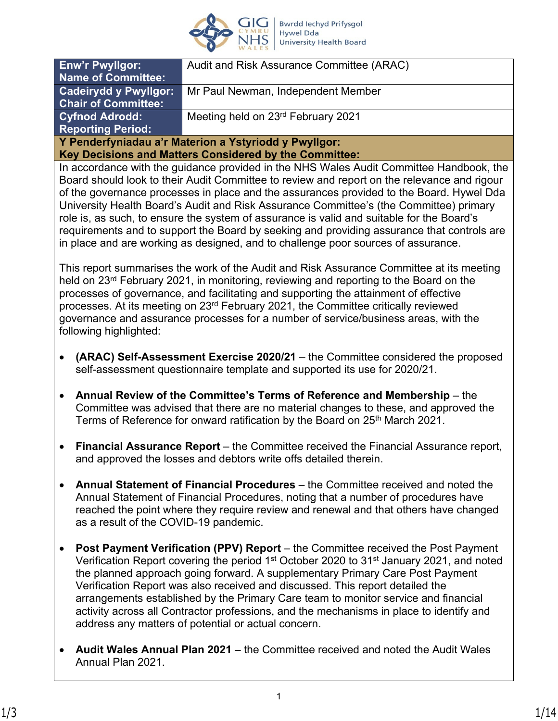

| <b>Enw'r Pwyllgor:</b>                                 | Audit and Risk Assurance Committee (ARAC) |  |
|--------------------------------------------------------|-------------------------------------------|--|
| Name of Committee:                                     |                                           |  |
| <b>Cadeirydd y Pwyllgor:</b>                           | Mr Paul Newman, Independent Member        |  |
| <b>Chair of Committee:</b>                             |                                           |  |
| <b>Cyfnod Adrodd:</b>                                  | Meeting held on 23rd February 2021        |  |
| <b>Reporting Period:</b>                               |                                           |  |
| Y Penderfyniadau a'r Materion a Ystyriodd y Pwyllgor:  |                                           |  |
| Key Decisions and Matters Considered by the Committee: |                                           |  |

In accordance with the guidance provided in the NHS Wales Audit Committee Handbook, the Board should look to their Audit Committee to review and report on the relevance and rigour of the governance processes in place and the assurances provided to the Board. Hywel Dda University Health Board's Audit and Risk Assurance Committee's (the Committee) primary role is, as such, to ensure the system of assurance is valid and suitable for the Board's requirements and to support the Board by seeking and providing assurance that controls are in place and are working as designed, and to challenge poor sources of assurance.

This report summarises the work of the Audit and Risk Assurance Committee at its meeting held on 23<sup>rd</sup> February 2021, in monitoring, reviewing and reporting to the Board on the processes of governance, and facilitating and supporting the attainment of effective processes. At its meeting on 23<sup>rd</sup> February 2021, the Committee critically reviewed governance and assurance processes for a number of service/business areas, with the following highlighted:

- **(ARAC) Self-Assessment Exercise 2020/21** the Committee considered the proposed self-assessment questionnaire template and supported its use for 2020/21.
- **Annual Review of the Committee's Terms of Reference and Membership** the Committee was advised that there are no material changes to these, and approved the Terms of Reference for onward ratification by the Board on 25<sup>th</sup> March 2021.
- **Financial Assurance Report** the Committee received the Financial Assurance report, and approved the losses and debtors write offs detailed therein.
- **Annual Statement of Financial Procedures** the Committee received and noted the Annual Statement of Financial Procedures, noting that a number of procedures have reached the point where they require review and renewal and that others have changed as a result of the COVID-19 pandemic.
- **Post Payment Verification (PPV) Report**  the Committee received the Post Payment Verification Report covering the period 1st October 2020 to 31st January 2021, and noted the planned approach going forward. A supplementary Primary Care Post Payment Verification Report was also received and discussed. This report detailed the arrangements established by the Primary Care team to monitor service and financial activity across all Contractor professions, and the mechanisms in place to identify and address any matters of potential or actual concern.
- **Audit Wales Annual Plan 2021**  the Committee received and noted the Audit Wales Annual Plan 2021.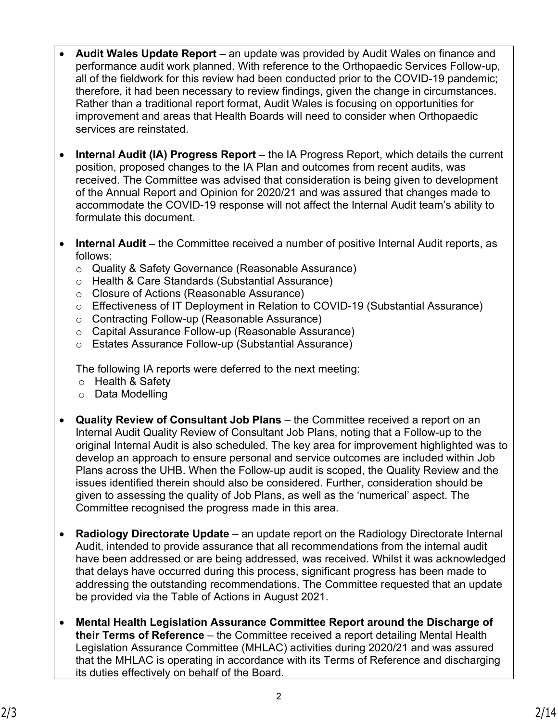- **Audit Wales Update Report** an update was provided by Audit Wales on finance and performance audit work planned. With reference to the Orthopaedic Services Follow-up, all of the fieldwork for this review had been conducted prior to the COVID-19 pandemic; therefore, it had been necessary to review findings, given the change in circumstances. Rather than a traditional report format, Audit Wales is focusing on opportunities for improvement and areas that Health Boards will need to consider when Orthopaedic services are reinstated.
- **Internal Audit (IA) Progress Report** the IA Progress Report, which details the current position, proposed changes to the IA Plan and outcomes from recent audits, was received. The Committee was advised that consideration is being given to development of the Annual Report and Opinion for 2020/21 and was assured that changes made to accommodate the COVID-19 response will not affect the Internal Audit team's ability to formulate this document.
- **Internal Audit** the Committee received a number of positive Internal Audit reports, as follows:
	- o Quality & Safety Governance (Reasonable Assurance)
	- o Health & Care Standards (Substantial Assurance)
	- o Closure of Actions (Reasonable Assurance)
	- o Effectiveness of IT Deployment in Relation to COVID-19 (Substantial Assurance)
	- o Contracting Follow-up (Reasonable Assurance)
	- o Capital Assurance Follow-up (Reasonable Assurance)
	- o Estates Assurance Follow-up (Substantial Assurance)

The following IA reports were deferred to the next meeting:

- o Health & Safety
- o Data Modelling
- **Quality Review of Consultant Job Plans** the Committee received a report on an Internal Audit Quality Review of Consultant Job Plans, noting that a Follow-up to the original Internal Audit is also scheduled. The key area for improvement highlighted was to develop an approach to ensure personal and service outcomes are included within Job Plans across the UHB. When the Follow-up audit is scoped, the Quality Review and the issues identified therein should also be considered. Further, consideration should be given to assessing the quality of Job Plans, as well as the 'numerical' aspect. The Committee recognised the progress made in this area.
- **Radiology Directorate Update** an update report on the Radiology Directorate Internal Audit, intended to provide assurance that all recommendations from the internal audit have been addressed or are being addressed, was received. Whilst it was acknowledged that delays have occurred during this process, significant progress has been made to addressing the outstanding recommendations. The Committee requested that an update be provided via the Table of Actions in August 2021.
- **Mental Health Legislation Assurance Committee Report around the Discharge of their Terms of Reference** – the Committee received a report detailing Mental Health Legislation Assurance Committee (MHLAC) activities during 2020/21 and was assured that the MHLAC is operating in accordance with its Terms of Reference and discharging its duties effectively on behalf of the Board.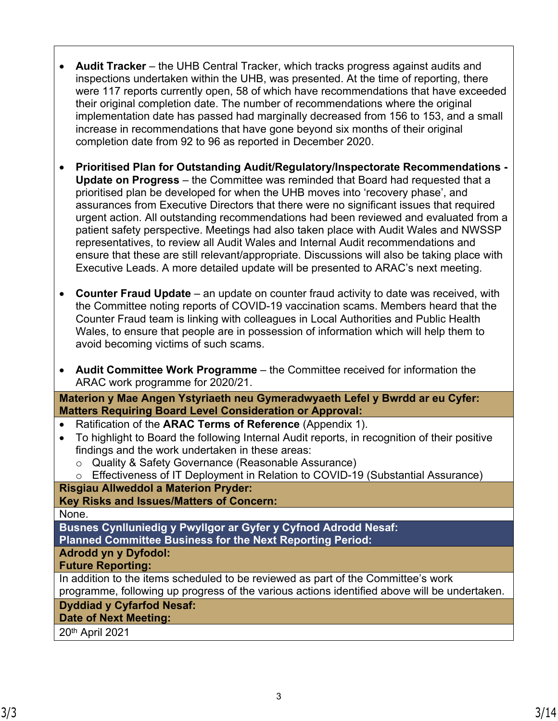- **Audit Tracker** the UHB Central Tracker, which tracks progress against audits and inspections undertaken within the UHB, was presented. At the time of reporting, there were 117 reports currently open, 58 of which have recommendations that have exceeded their original completion date. The number of recommendations where the original implementation date has passed had marginally decreased from 156 to 153, and a small increase in recommendations that have gone beyond six months of their original completion date from 92 to 96 as reported in December 2020.
- **Prioritised Plan for Outstanding Audit/Regulatory/Inspectorate Recommendations Update on Progress** – the Committee was reminded that Board had requested that a prioritised plan be developed for when the UHB moves into 'recovery phase', and assurances from Executive Directors that there were no significant issues that required urgent action. All outstanding recommendations had been reviewed and evaluated from a patient safety perspective. Meetings had also taken place with Audit Wales and NWSSP representatives, to review all Audit Wales and Internal Audit recommendations and ensure that these are still relevant/appropriate. Discussions will also be taking place with Executive Leads. A more detailed update will be presented to ARAC's next meeting.
- **Counter Fraud Update** an update on counter fraud activity to date was received, with the Committee noting reports of COVID-19 vaccination scams. Members heard that the Counter Fraud team is linking with colleagues in Local Authorities and Public Health Wales, to ensure that people are in possession of information which will help them to avoid becoming victims of such scams.
- **Audit Committee Work Programme** the Committee received for information the ARAC work programme for 2020/21.

**Materion y Mae Angen Ystyriaeth neu Gymeradwyaeth Lefel y Bwrdd ar eu Cyfer: Matters Requiring Board Level Consideration or Approval:**

- Ratification of the **ARAC Terms of Reference** (Appendix 1).
- To highlight to Board the following Internal Audit reports, in recognition of their positive findings and the work undertaken in these areas:
	- o Quality & Safety Governance (Reasonable Assurance)
	- o Effectiveness of IT Deployment in Relation to COVID-19 (Substantial Assurance)

# **Risgiau Allweddol a Materion Pryder:**

### **Key Risks and Issues/Matters of Concern:**

### None.

**Busnes Cynlluniedig y Pwyllgor ar Gyfer y Cyfnod Adrodd Nesaf:**

**Planned Committee Business for the Next Reporting Period:**

# **Adrodd yn y Dyfodol:**

### **Future Reporting:**

In addition to the items scheduled to be reviewed as part of the Committee's work programme, following up progress of the various actions identified above will be undertaken.

# **Dyddiad y Cyfarfod Nesaf:**

# **Date of Next Meeting:**

20th April 2021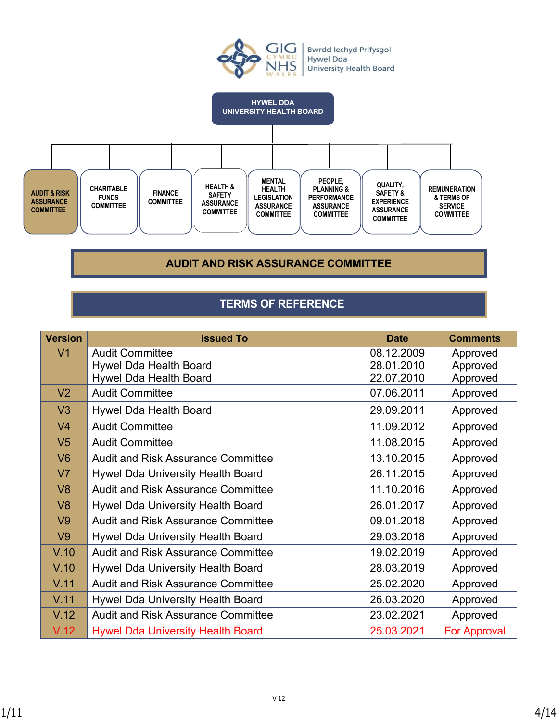



### **AUDIT AND RISK ASSURANCE COMMITTEE**

# **TERMS OF REFERENCE**

| <b>Version</b> | <b>Issued To</b>                          | <b>Date</b> | <b>Comments</b>     |
|----------------|-------------------------------------------|-------------|---------------------|
| V <sub>1</sub> | <b>Audit Committee</b>                    | 08.12.2009  | Approved            |
|                | <b>Hywel Dda Health Board</b>             | 28.01.2010  | Approved            |
|                | Hywel Dda Health Board                    | 22.07.2010  | Approved            |
| V <sub>2</sub> | <b>Audit Committee</b>                    | 07.06.2011  | Approved            |
| V3             | <b>Hywel Dda Health Board</b>             | 29.09.2011  | Approved            |
| V <sub>4</sub> | <b>Audit Committee</b>                    | 11.09.2012  | Approved            |
| V <sub>5</sub> | <b>Audit Committee</b>                    | 11.08.2015  | Approved            |
| V <sub>6</sub> | <b>Audit and Risk Assurance Committee</b> | 13.10.2015  | Approved            |
| V <sub>7</sub> | Hywel Dda University Health Board         | 26.11.2015  | Approved            |
| V <sub>8</sub> | <b>Audit and Risk Assurance Committee</b> | 11.10.2016  | Approved            |
| V8             | Hywel Dda University Health Board         | 26.01.2017  | Approved            |
| V <sub>9</sub> | <b>Audit and Risk Assurance Committee</b> | 09.01.2018  | Approved            |
| V <sub>9</sub> | Hywel Dda University Health Board         | 29.03.2018  | Approved            |
| V.10           | <b>Audit and Risk Assurance Committee</b> | 19.02.2019  | Approved            |
| V.10           | Hywel Dda University Health Board         | 28.03.2019  | Approved            |
| V.11           | <b>Audit and Risk Assurance Committee</b> | 25.02.2020  | Approved            |
| V.11           | Hywel Dda University Health Board         | 26.03.2020  | Approved            |
| V.12           | <b>Audit and Risk Assurance Committee</b> | 23.02.2021  | Approved            |
| V.12           | <b>Hywel Dda University Health Board</b>  | 25.03.2021  | <b>For Approval</b> |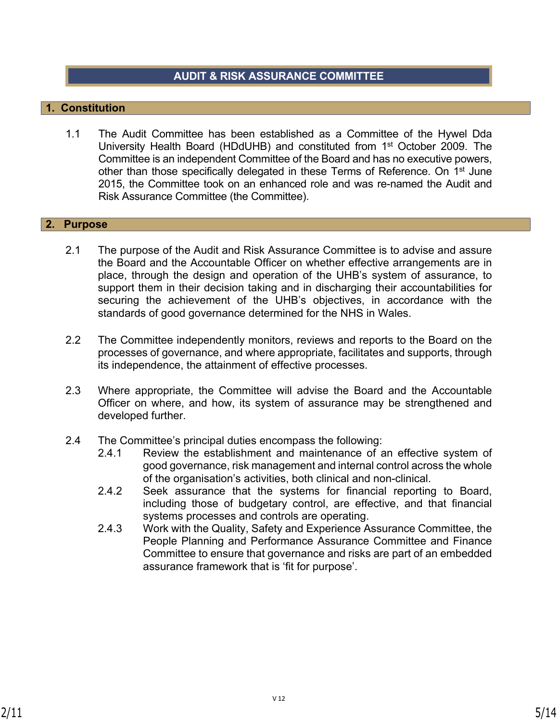### **AUDIT & RISK ASSURANCE COMMITTEE**

### **1. Constitution**

1.1 The Audit Committee has been established as a Committee of the Hywel Dda University Health Board (HDdUHB) and constituted from 1st October 2009. The Committee is an independent Committee of the Board and has no executive powers, other than those specifically delegated in these Terms of Reference. On 1<sup>st</sup> June 2015, the Committee took on an enhanced role and was re-named the Audit and Risk Assurance Committee (the Committee).

#### **2. Purpose**

- 2.1 The purpose of the Audit and Risk Assurance Committee is to advise and assure the Board and the Accountable Officer on whether effective arrangements are in place, through the design and operation of the UHB's system of assurance, to support them in their decision taking and in discharging their accountabilities for securing the achievement of the UHB's objectives, in accordance with the standards of good governance determined for the NHS in Wales.
- 2.2 The Committee independently monitors, reviews and reports to the Board on the processes of governance, and where appropriate, facilitates and supports, through its independence, the attainment of effective processes.
- 2.3 Where appropriate, the Committee will advise the Board and the Accountable Officer on where, and how, its system of assurance may be strengthened and developed further.
- 2.4 The Committee's principal duties encompass the following:
	- 2.4.1 Review the establishment and maintenance of an effective system of good governance, risk management and internal control across the whole of the organisation's activities, both clinical and non-clinical.
	- 2.4.2 Seek assurance that the systems for financial reporting to Board, including those of budgetary control, are effective, and that financial systems processes and controls are operating.
	- 2.4.3 Work with the Quality, Safety and Experience Assurance Committee, the People Planning and Performance Assurance Committee and Finance Committee to ensure that governance and risks are part of an embedded assurance framework that is 'fit for purpose'.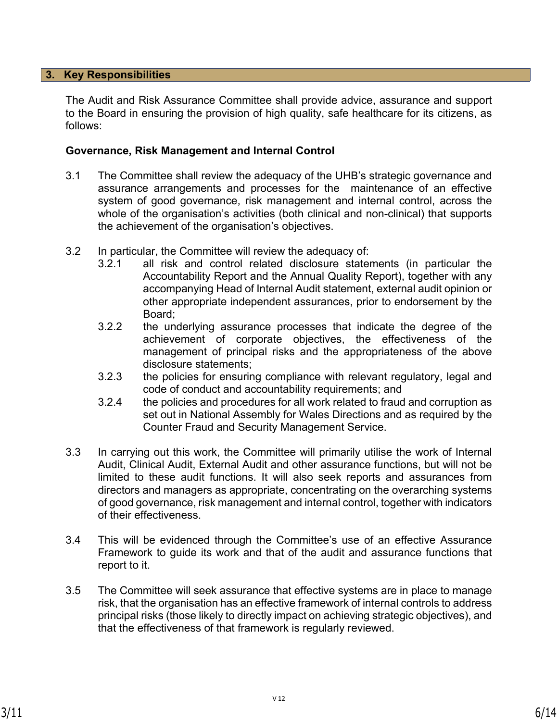### **3. Key Responsibilities**

The Audit and Risk Assurance Committee shall provide advice, assurance and support to the Board in ensuring the provision of high quality, safe healthcare for its citizens, as follows:

#### **Governance, Risk Management and Internal Control**

- 3.1 The Committee shall review the adequacy of the UHB's strategic governance and assurance arrangements and processes for the maintenance of an effective system of good governance, risk management and internal control, across the whole of the organisation's activities (both clinical and non-clinical) that supports the achievement of the organisation's objectives.
- 3.2 In particular, the Committee will review the adequacy of:
	- 3.2.1 all risk and control related disclosure statements (in particular the Accountability Report and the Annual Quality Report), together with any accompanying Head of Internal Audit statement, external audit opinion or other appropriate independent assurances, prior to endorsement by the Board;
	- 3.2.2 the underlying assurance processes that indicate the degree of the achievement of corporate objectives, the effectiveness of the management of principal risks and the appropriateness of the above disclosure statements;
	- 3.2.3 the policies for ensuring compliance with relevant regulatory, legal and code of conduct and accountability requirements; and
	- 3.2.4 the policies and procedures for all work related to fraud and corruption as set out in National Assembly for Wales Directions and as required by the Counter Fraud and Security Management Service.
- 3.3 In carrying out this work, the Committee will primarily utilise the work of Internal Audit, Clinical Audit, External Audit and other assurance functions, but will not be limited to these audit functions. It will also seek reports and assurances from directors and managers as appropriate, concentrating on the overarching systems of good governance, risk management and internal control, together with indicators of their effectiveness.
- 3.4 This will be evidenced through the Committee's use of an effective Assurance Framework to guide its work and that of the audit and assurance functions that report to it.
- 3.5 The Committee will seek assurance that effective systems are in place to manage risk, that the organisation has an effective framework of internal controls to address principal risks (those likely to directly impact on achieving strategic objectives), and that the effectiveness of that framework is regularly reviewed.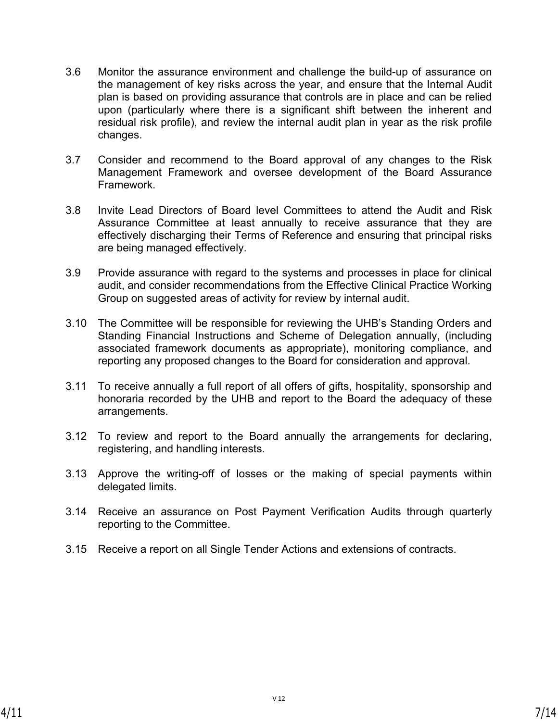- 3.6 Monitor the assurance environment and challenge the build-up of assurance on the management of key risks across the year, and ensure that the Internal Audit plan is based on providing assurance that controls are in place and can be relied upon (particularly where there is a significant shift between the inherent and residual risk profile), and review the internal audit plan in year as the risk profile changes.
- 3.7 Consider and recommend to the Board approval of any changes to the Risk Management Framework and oversee development of the Board Assurance Framework.
- 3.8 Invite Lead Directors of Board level Committees to attend the Audit and Risk Assurance Committee at least annually to receive assurance that they are effectively discharging their Terms of Reference and ensuring that principal risks are being managed effectively.
- 3.9 Provide assurance with regard to the systems and processes in place for clinical audit, and consider recommendations from the Effective Clinical Practice Working Group on suggested areas of activity for review by internal audit.
- 3.10 The Committee will be responsible for reviewing the UHB's Standing Orders and Standing Financial Instructions and Scheme of Delegation annually, (including associated framework documents as appropriate), monitoring compliance, and reporting any proposed changes to the Board for consideration and approval.
- 3.11 To receive annually a full report of all offers of gifts, hospitality, sponsorship and honoraria recorded by the UHB and report to the Board the adequacy of these arrangements.
- 3.12 To review and report to the Board annually the arrangements for declaring, registering, and handling interests.
- 3.13 Approve the writing-off of losses or the making of special payments within delegated limits.
- 3.14 Receive an assurance on Post Payment Verification Audits through quarterly reporting to the Committee.
- 3.15 Receive a report on all Single Tender Actions and extensions of contracts.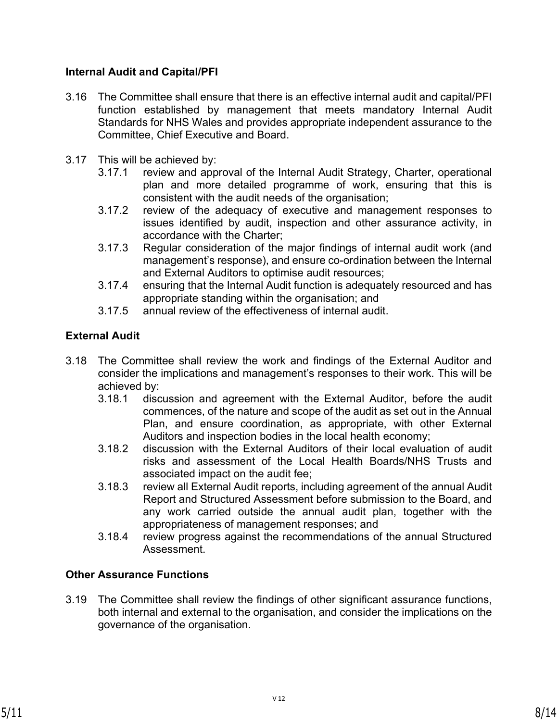### **Internal Audit and Capital/PFI**

- 3.16 The Committee shall ensure that there is an effective internal audit and capital/PFI function established by management that meets mandatory Internal Audit Standards for NHS Wales and provides appropriate independent assurance to the Committee, Chief Executive and Board.
- 3.17 This will be achieved by:
	- 3.17.1 review and approval of the Internal Audit Strategy, Charter, operational plan and more detailed programme of work, ensuring that this is consistent with the audit needs of the organisation;
	- 3.17.2 review of the adequacy of executive and management responses to issues identified by audit, inspection and other assurance activity, in accordance with the Charter;
	- 3.17.3 Regular consideration of the major findings of internal audit work (and management's response), and ensure co-ordination between the Internal and External Auditors to optimise audit resources;
	- 3.17.4 ensuring that the Internal Audit function is adequately resourced and has appropriate standing within the organisation; and
	- 3.17.5 annual review of the effectiveness of internal audit.

# **External Audit**

- 3.18 The Committee shall review the work and findings of the External Auditor and consider the implications and management's responses to their work. This will be achieved by:
	- 3.18.1 discussion and agreement with the External Auditor, before the audit commences, of the nature and scope of the audit as set out in the Annual Plan, and ensure coordination, as appropriate, with other External Auditors and inspection bodies in the local health economy;
	- 3.18.2 discussion with the External Auditors of their local evaluation of audit risks and assessment of the Local Health Boards/NHS Trusts and associated impact on the audit fee;
	- 3.18.3 review all External Audit reports, including agreement of the annual Audit Report and Structured Assessment before submission to the Board, and any work carried outside the annual audit plan, together with the appropriateness of management responses; and
	- 3.18.4 review progress against the recommendations of the annual Structured Assessment.

# **Other Assurance Functions**

3.19 The Committee shall review the findings of other significant assurance functions, both internal and external to the organisation, and consider the implications on the governance of the organisation.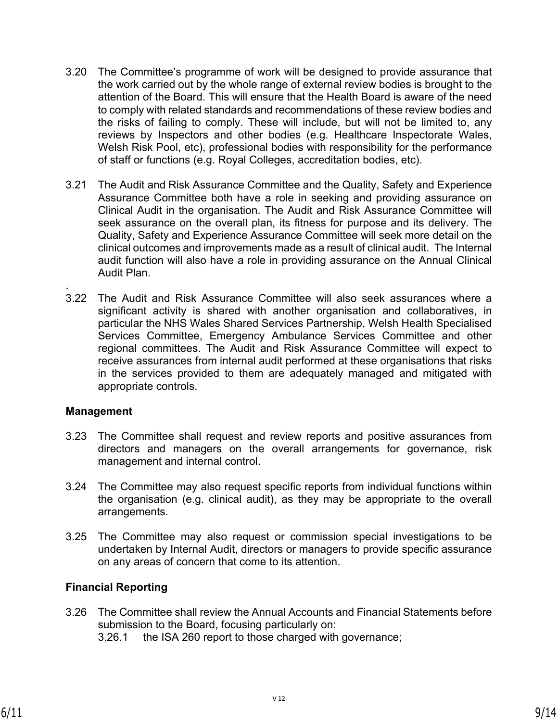- 3.20 The Committee's programme of work will be designed to provide assurance that the work carried out by the whole range of external review bodies is brought to the attention of the Board. This will ensure that the Health Board is aware of the need to comply with related standards and recommendations of these review bodies and the risks of failing to comply. These will include, but will not be limited to, any reviews by Inspectors and other bodies (e.g. Healthcare Inspectorate Wales, Welsh Risk Pool, etc), professional bodies with responsibility for the performance of staff or functions (e.g. Royal Colleges, accreditation bodies, etc).
- 3.21 The Audit and Risk Assurance Committee and the Quality, Safety and Experience Assurance Committee both have a role in seeking and providing assurance on Clinical Audit in the organisation. The Audit and Risk Assurance Committee will seek assurance on the overall plan, its fitness for purpose and its delivery. The Quality, Safety and Experience Assurance Committee will seek more detail on the clinical outcomes and improvements made as a result of clinical audit. The Internal audit function will also have a role in providing assurance on the Annual Clinical Audit Plan.
- 3.22 The Audit and Risk Assurance Committee will also seek assurances where a significant activity is shared with another organisation and collaboratives, in particular the NHS Wales Shared Services Partnership, Welsh Health Specialised Services Committee, Emergency Ambulance Services Committee and other regional committees. The Audit and Risk Assurance Committee will expect to receive assurances from internal audit performed at these organisations that risks in the services provided to them are adequately managed and mitigated with appropriate controls.

### **Management**

.

- 3.23 The Committee shall request and review reports and positive assurances from directors and managers on the overall arrangements for governance, risk management and internal control.
- 3.24 The Committee may also request specific reports from individual functions within the organisation (e.g. clinical audit), as they may be appropriate to the overall arrangements.
- 3.25 The Committee may also request or commission special investigations to be undertaken by Internal Audit, directors or managers to provide specific assurance on any areas of concern that come to its attention.

### **Financial Reporting**

3.26 The Committee shall review the Annual Accounts and Financial Statements before submission to the Board, focusing particularly on: 3.26.1 the ISA 260 report to those charged with governance;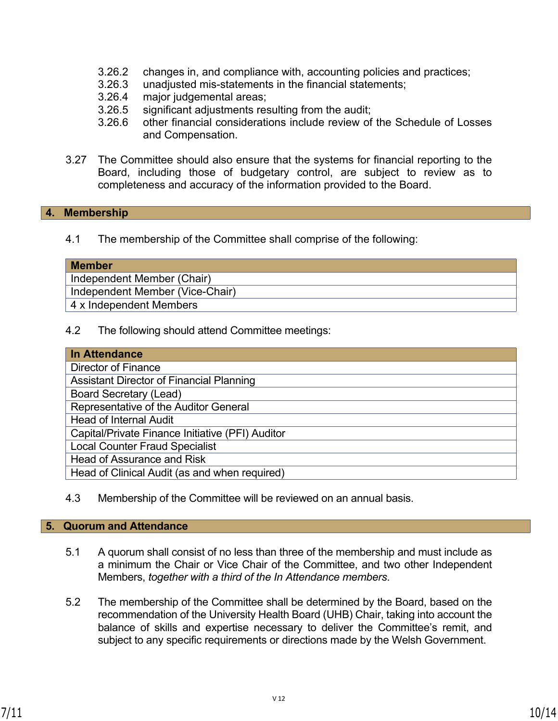- 3.26.2 changes in, and compliance with, accounting policies and practices;
- 3.26.3 unadjusted mis-statements in the financial statements;
- 3.26.4 major judgemental areas;
- 3.26.5 significant adjustments resulting from the audit;
- 3.26.6 other financial considerations include review of the Schedule of Losses and Compensation.
- 3.27 The Committee should also ensure that the systems for financial reporting to the Board, including those of budgetary control, are subject to review as to completeness and accuracy of the information provided to the Board.

#### **4. Membership**

4.1 The membership of the Committee shall comprise of the following:

| <b>Member</b>                   |
|---------------------------------|
| Independent Member (Chair)      |
| Independent Member (Vice-Chair) |
| 4 x Independent Members         |

4.2 The following should attend Committee meetings:

| In Attendance                                    |  |  |
|--------------------------------------------------|--|--|
| Director of Finance                              |  |  |
| <b>Assistant Director of Financial Planning</b>  |  |  |
| <b>Board Secretary (Lead)</b>                    |  |  |
| Representative of the Auditor General            |  |  |
| <b>Head of Internal Audit</b>                    |  |  |
| Capital/Private Finance Initiative (PFI) Auditor |  |  |
| <b>Local Counter Fraud Specialist</b>            |  |  |
| <b>Head of Assurance and Risk</b>                |  |  |
| Head of Clinical Audit (as and when required)    |  |  |

4.3 Membership of the Committee will be reviewed on an annual basis.

#### **5. Quorum and Attendance**

- 5.1 A quorum shall consist of no less than three of the membership and must include as a minimum the Chair or Vice Chair of the Committee, and two other Independent Members, *together with a third of the In Attendance members*.
- 5.2 The membership of the Committee shall be determined by the Board, based on the recommendation of the University Health Board (UHB) Chair, taking into account the balance of skills and expertise necessary to deliver the Committee's remit, and subject to any specific requirements or directions made by the Welsh Government.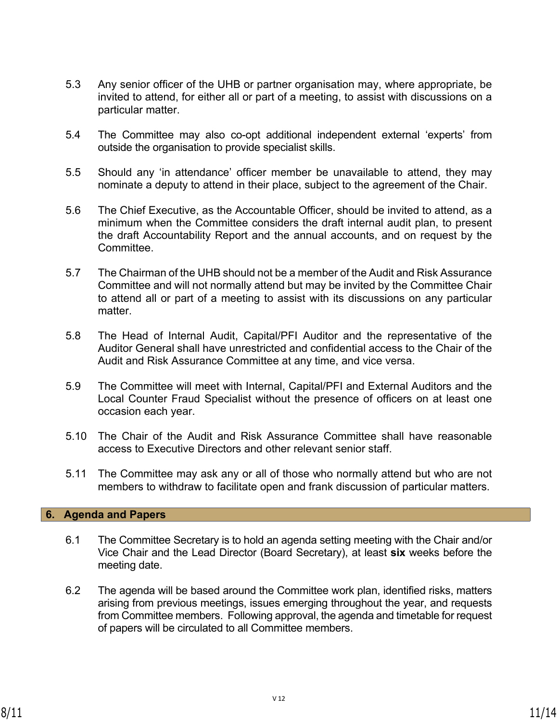- 5.3 Any senior officer of the UHB or partner organisation may, where appropriate, be invited to attend, for either all or part of a meeting, to assist with discussions on a particular matter.
- 5.4 The Committee may also co-opt additional independent external 'experts' from outside the organisation to provide specialist skills.
- 5.5 Should any 'in attendance' officer member be unavailable to attend, they may nominate a deputy to attend in their place, subject to the agreement of the Chair.
- 5.6 The Chief Executive, as the Accountable Officer, should be invited to attend, as a minimum when the Committee considers the draft internal audit plan, to present the draft Accountability Report and the annual accounts, and on request by the Committee.
- 5.7 The Chairman of the UHB should not be a member of the Audit and Risk Assurance Committee and will not normally attend but may be invited by the Committee Chair to attend all or part of a meeting to assist with its discussions on any particular matter.
- 5.8 The Head of Internal Audit, Capital/PFI Auditor and the representative of the Auditor General shall have unrestricted and confidential access to the Chair of the Audit and Risk Assurance Committee at any time, and vice versa.
- 5.9 The Committee will meet with Internal, Capital/PFI and External Auditors and the Local Counter Fraud Specialist without the presence of officers on at least one occasion each year.
- 5.10 The Chair of the Audit and Risk Assurance Committee shall have reasonable access to Executive Directors and other relevant senior staff.
- 5.11 The Committee may ask any or all of those who normally attend but who are not members to withdraw to facilitate open and frank discussion of particular matters.

### **6. Agenda and Papers**

- 6.1 The Committee Secretary is to hold an agenda setting meeting with the Chair and/or Vice Chair and the Lead Director (Board Secretary), at least **six** weeks before the meeting date.
- 6.2 The agenda will be based around the Committee work plan, identified risks, matters arising from previous meetings, issues emerging throughout the year, and requests from Committee members. Following approval, the agenda and timetable for request of papers will be circulated to all Committee members.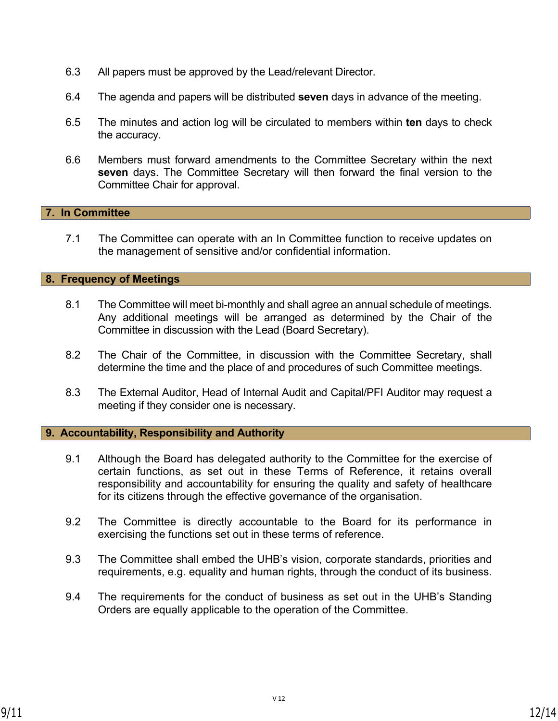- 6.3 All papers must be approved by the Lead/relevant Director.
- 6.4 The agenda and papers will be distributed **seven** days in advance of the meeting.
- 6.5 The minutes and action log will be circulated to members within **ten** days to check the accuracy.
- 6.6 Members must forward amendments to the Committee Secretary within the next **seven** days. The Committee Secretary will then forward the final version to the Committee Chair for approval.

### **7. In Committee**

7.1 The Committee can operate with an In Committee function to receive updates on the management of sensitive and/or confidential information.

### **8. Frequency of Meetings**

- 8.1 The Committee will meet bi-monthly and shall agree an annual schedule of meetings. Any additional meetings will be arranged as determined by the Chair of the Committee in discussion with the Lead (Board Secretary).
- 8.2 The Chair of the Committee, in discussion with the Committee Secretary, shall determine the time and the place of and procedures of such Committee meetings.
- 8.3 The External Auditor, Head of Internal Audit and Capital/PFI Auditor may request a meeting if they consider one is necessary.

### **9. Accountability, Responsibility and Authority**

- 9.1 Although the Board has delegated authority to the Committee for the exercise of certain functions, as set out in these Terms of Reference, it retains overall responsibility and accountability for ensuring the quality and safety of healthcare for its citizens through the effective governance of the organisation.
- 9.2 The Committee is directly accountable to the Board for its performance in exercising the functions set out in these terms of reference.
- 9.3 The Committee shall embed the UHB's vision, corporate standards, priorities and requirements, e.g. equality and human rights, through the conduct of its business.
- 9.4 The requirements for the conduct of business as set out in the UHB's Standing Orders are equally applicable to the operation of the Committee.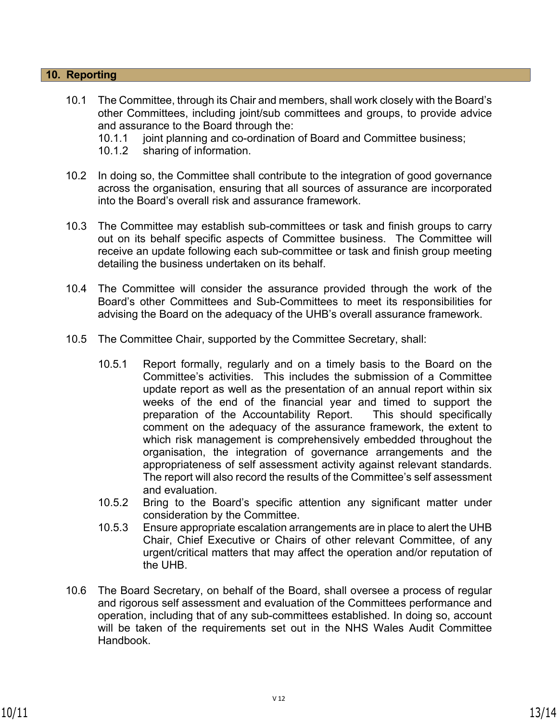### **10. Reporting**

- 10.1 The Committee, through its Chair and members, shall work closely with the Board's other Committees, including joint/sub committees and groups, to provide advice and assurance to the Board through the:
	- 10.1.1 joint planning and co-ordination of Board and Committee business;
	- 10.1.2 sharing of information.
- 10.2 In doing so, the Committee shall contribute to the integration of good governance across the organisation, ensuring that all sources of assurance are incorporated into the Board's overall risk and assurance framework.
- 10.3 The Committee may establish sub-committees or task and finish groups to carry out on its behalf specific aspects of Committee business. The Committee will receive an update following each sub-committee or task and finish group meeting detailing the business undertaken on its behalf.
- 10.4 The Committee will consider the assurance provided through the work of the Board's other Committees and Sub-Committees to meet its responsibilities for advising the Board on the adequacy of the UHB's overall assurance framework.
- 10.5 The Committee Chair, supported by the Committee Secretary, shall:
	- 10.5.1 Report formally, regularly and on a timely basis to the Board on the Committee's activities. This includes the submission of a Committee update report as well as the presentation of an annual report within six weeks of the end of the financial year and timed to support the preparation of the Accountability Report. This should specifically comment on the adequacy of the assurance framework, the extent to which risk management is comprehensively embedded throughout the organisation, the integration of governance arrangements and the appropriateness of self assessment activity against relevant standards. The report will also record the results of the Committee's self assessment and evaluation.
	- 10.5.2 Bring to the Board's specific attention any significant matter under consideration by the Committee.
	- 10.5.3 Ensure appropriate escalation arrangements are in place to alert the UHB Chair, Chief Executive or Chairs of other relevant Committee, of any urgent/critical matters that may affect the operation and/or reputation of the UHB.
- 10.6 The Board Secretary, on behalf of the Board, shall oversee a process of regular and rigorous self assessment and evaluation of the Committees performance and operation, including that of any sub-committees established. In doing so, account will be taken of the requirements set out in the NHS Wales Audit Committee Handbook.